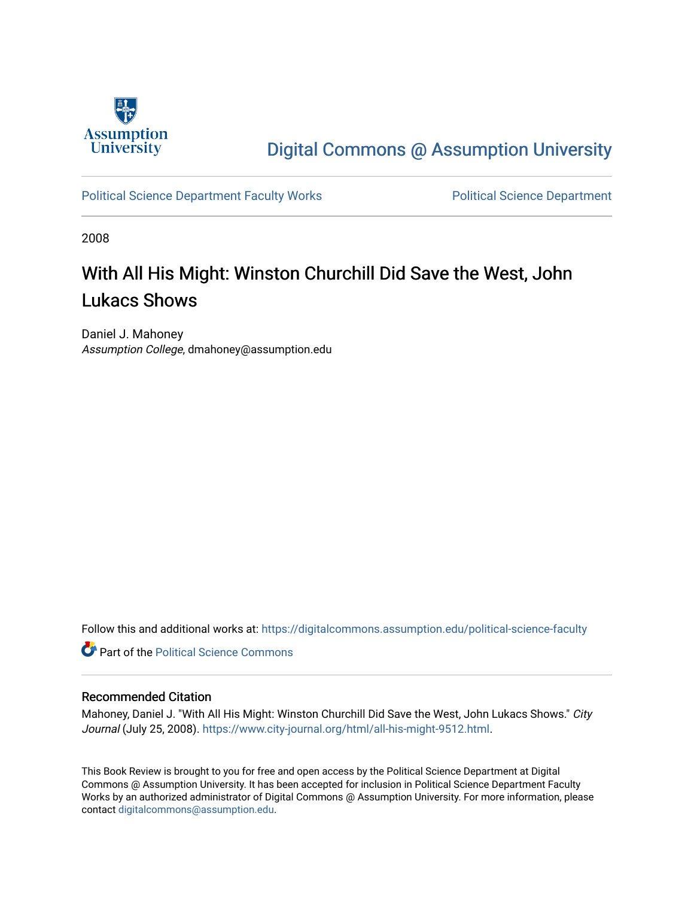

## [Digital Commons @ Assumption University](https://digitalcommons.assumption.edu/)

#### [Political Science Department Faculty Works](https://digitalcommons.assumption.edu/political-science-faculty) **Political Science Department**

2008

# With All His Might: Winston Churchill Did Save the West, John Lukacs Shows

Daniel J. Mahoney Assumption College, dmahoney@assumption.edu

Follow this and additional works at: [https://digitalcommons.assumption.edu/political-science-faculty](https://digitalcommons.assumption.edu/political-science-faculty?utm_source=digitalcommons.assumption.edu%2Fpolitical-science-faculty%2F57&utm_medium=PDF&utm_campaign=PDFCoverPages)

**Part of the Political Science Commons** 

#### Recommended Citation

Mahoney, Daniel J. "With All His Might: Winston Churchill Did Save the West, John Lukacs Shows." City Journal (July 25, 2008). <https://www.city-journal.org/html/all-his-might-9512.html>.

This Book Review is brought to you for free and open access by the Political Science Department at Digital Commons @ Assumption University. It has been accepted for inclusion in Political Science Department Faculty Works by an authorized administrator of Digital Commons @ Assumption University. For more information, please contact [digitalcommons@assumption.edu.](mailto:digitalcommons@assumption.edu)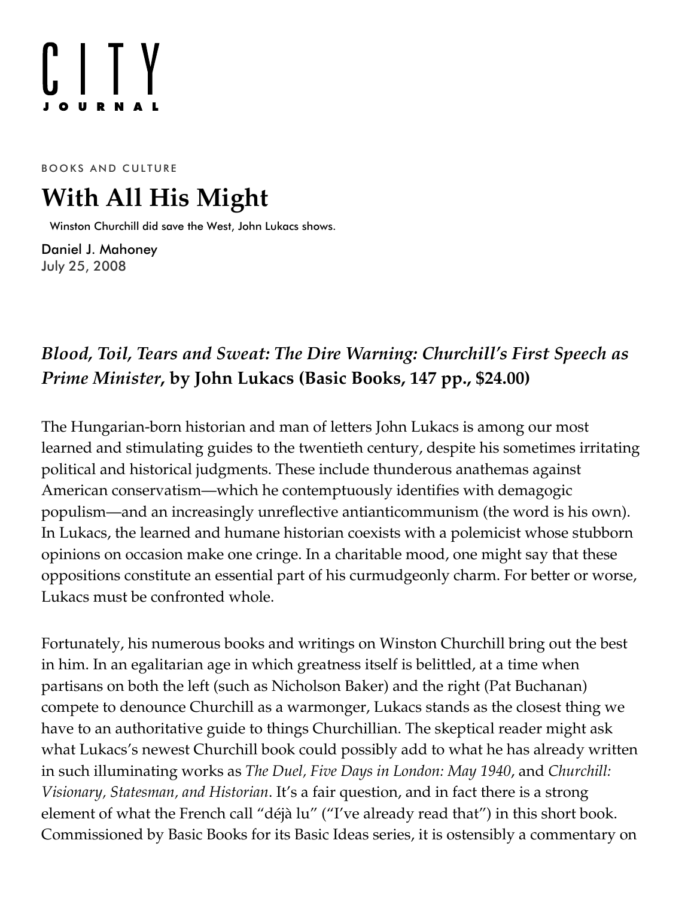# $[]$   $[]$   $Y$

BOOKS AND CULTURE

# **With All His Might**

Winston Churchill did save the West, John Lukacs shows.

[Daniel J. Mahoney](https://www.city-journal.org/contributor/daniel-j-mahoney_578) July 25, 2008

## *Blood, Toil, Tears and Sweat: The Dire Warning: [Churchill's](http://www.amazon.com/exec/obidos/ASIN/0465002870/manhattaninstitu/) First Speech as Prime Minister***, by John Lukacs (Basic Books, 147 pp., \$24.00)**

The Hungarian-born historian and man of letters John Lukacs is among our most learned and stimulating guides to the twentieth century, despite his sometimes irritating political and historical judgments. These include thunderous anathemas against American conservatism—which he contemptuously identifies with demagogic populism—and an increasingly unreflective antianticommunism (the word is his own). In Lukacs, the learned and humane historian coexists with a polemicist whose stubborn opinions on occasion make one cringe. In a charitable mood, one might say that these oppositions constitute an essential part of his curmudgeonly charm. For better or worse, Lukacs must be confronted whole.

Fortunately, his numerous books and writings on Winston Churchill bring out the best in him. In an egalitarian age in which greatness itself is belittled, at a time when partisans on both the left (such as Nicholson Baker) and the right (Pat Buchanan) compete to denounce Churchill as a warmonger, Lukacs stands as the closest thing we have to an authoritative guide to things Churchillian. The skeptical reader might ask what Lukacs's newest Churchill book could possibly add to what he has already written in such illuminating works as *The Duel, Five Days in London: May 1940*, and *Churchill: Visionary, Statesman, and Historian*. It's a fair question, and in fact there is a strong element of what the French call "déjà lu" ("I've already read that") in this short book. Commissioned by Basic Books for its Basic Ideas series, it is ostensibly a commentary on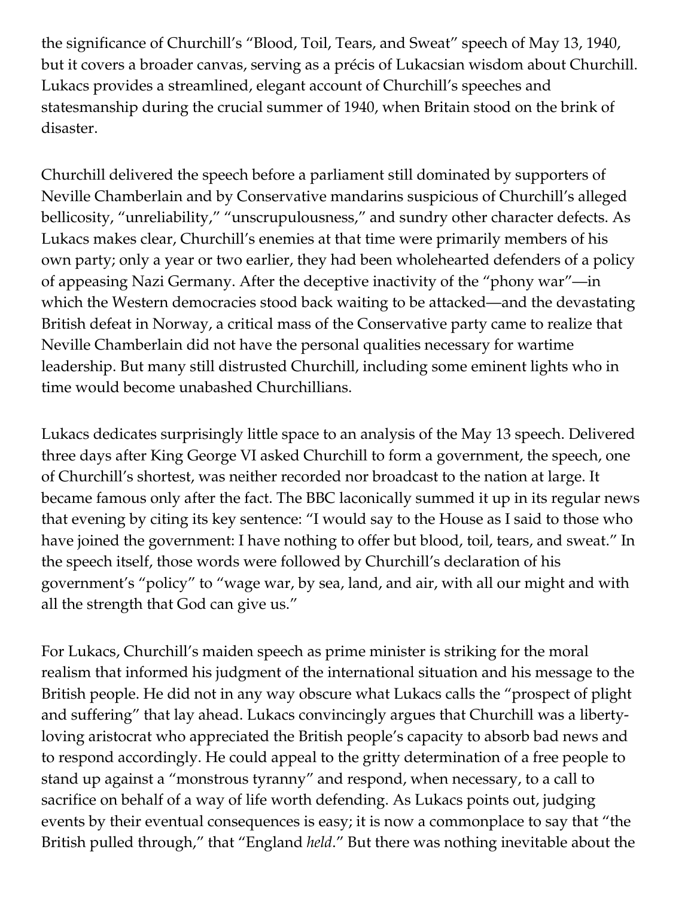the significance of Churchill's "Blood, Toil, Tears, and Sweat" speech of May 13, 1940, but it covers a broader canvas, serving as a précis of Lukacsian wisdom about Churchill. Lukacs provides a streamlined, elegant account of Churchill's speeches and statesmanship during the crucial summer of 1940, when Britain stood on the brink of disaster.

Churchill delivered the speech before a parliament still dominated by supporters of Neville Chamberlain and by Conservative mandarins suspicious of Churchill's alleged bellicosity, "unreliability," "unscrupulousness," and sundry other character defects. As Lukacs makes clear, Churchill's enemies at that time were primarily members of his own party; only a year or two earlier, they had been wholehearted defenders of a policy of appeasing Nazi Germany. After the deceptive inactivity of the "phony war"—in which the Western democracies stood back waiting to be attacked—and the devastating British defeat in Norway, a critical mass of the Conservative party came to realize that Neville Chamberlain did not have the personal qualities necessary for wartime leadership. But many still distrusted Churchill, including some eminent lights who in time would become unabashed Churchillians.

Lukacs dedicates surprisingly little space to an analysis of the May 13 speech. Delivered three days after King George VI asked Churchill to form a government, the speech, one of Churchill's shortest, was neither recorded nor broadcast to the nation at large. It became famous only after the fact. The BBC laconically summed it up in its regular news that evening by citing its key sentence: "I would say to the House as I said to those who have joined the government: I have nothing to offer but blood, toil, tears, and sweat." In the speech itself, those words were followed by Churchill's declaration of his government's "policy" to "wage war, by sea, land, and air, with all our might and with all the strength that God can give us."

For Lukacs, Churchill's maiden speech as prime minister is striking for the moral realism that informed his judgment of the international situation and his message to the British people. He did not in any way obscure what Lukacs calls the "prospect of plight and suffering" that lay ahead. Lukacs convincingly argues that Churchill was a libertyloving aristocrat who appreciated the British people's capacity to absorb bad news and to respond accordingly. He could appeal to the gritty determination of a free people to stand up against a "monstrous tyranny" and respond, when necessary, to a call to sacrifice on behalf of a way of life worth defending. As Lukacs points out, judging events by their eventual consequences is easy; it is now a commonplace to say that "the British pulled through," that "England *held*." But there was nothing inevitable about the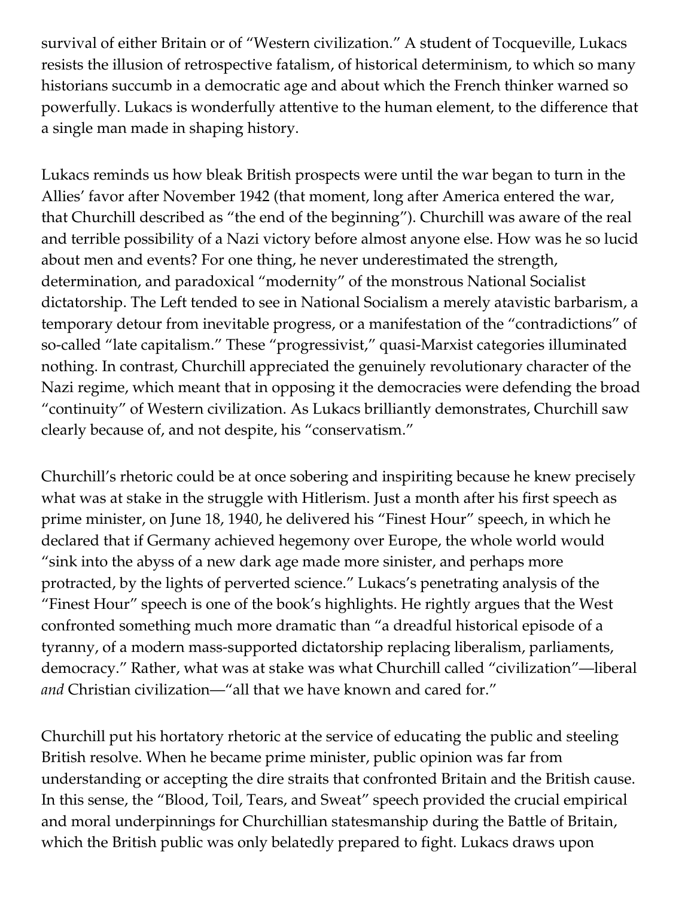survival of either Britain or of "Western civilization." A student of Tocqueville, Lukacs resists the illusion of retrospective fatalism, of historical determinism, to which so many historians succumb in a democratic age and about which the French thinker warned so powerfully. Lukacs is wonderfully attentive to the human element, to the difference that a single man made in shaping history.

Lukacs reminds us how bleak British prospects were until the war began to turn in the Allies' favor after November 1942 (that moment, long after America entered the war, that Churchill described as "the end of the beginning"). Churchill was aware of the real and terrible possibility of a Nazi victory before almost anyone else. How was he so lucid about men and events? For one thing, he never underestimated the strength, determination, and paradoxical "modernity" of the monstrous National Socialist dictatorship. The Left tended to see in National Socialism a merely atavistic barbarism, a temporary detour from inevitable progress, or a manifestation of the "contradictions" of so-called "late capitalism." These "progressivist," quasi-Marxist categories illuminated nothing. In contrast, Churchill appreciated the genuinely revolutionary character of the Nazi regime, which meant that in opposing it the democracies were defending the broad "continuity" of Western civilization. As Lukacs brilliantly demonstrates, Churchill saw clearly because of, and not despite, his "conservatism."

Churchill's rhetoric could be at once sobering and inspiriting because he knew precisely what was at stake in the struggle with Hitlerism. Just a month after his first speech as prime minister, on June 18, 1940, he delivered his "Finest Hour" speech, in which he declared that if Germany achieved hegemony over Europe, the whole world would "sink into the abyss of a new dark age made more sinister, and perhaps more protracted, by the lights of perverted science." Lukacs's penetrating analysis of the "Finest Hour" speech is one of the book's highlights. He rightly argues that the West confronted something much more dramatic than "a dreadful historical episode of a tyranny, of a modern mass-supported dictatorship replacing liberalism, parliaments, democracy." Rather, what was at stake was what Churchill called "civilization"—liberal *and* Christian civilization—"all that we have known and cared for."

Churchill put his hortatory rhetoric at the service of educating the public and steeling British resolve. When he became prime minister, public opinion was far from understanding or accepting the dire straits that confronted Britain and the British cause. In this sense, the "Blood, Toil, Tears, and Sweat" speech provided the crucial empirical and moral underpinnings for Churchillian statesmanship during the Battle of Britain, which the British public was only belatedly prepared to fight. Lukacs draws upon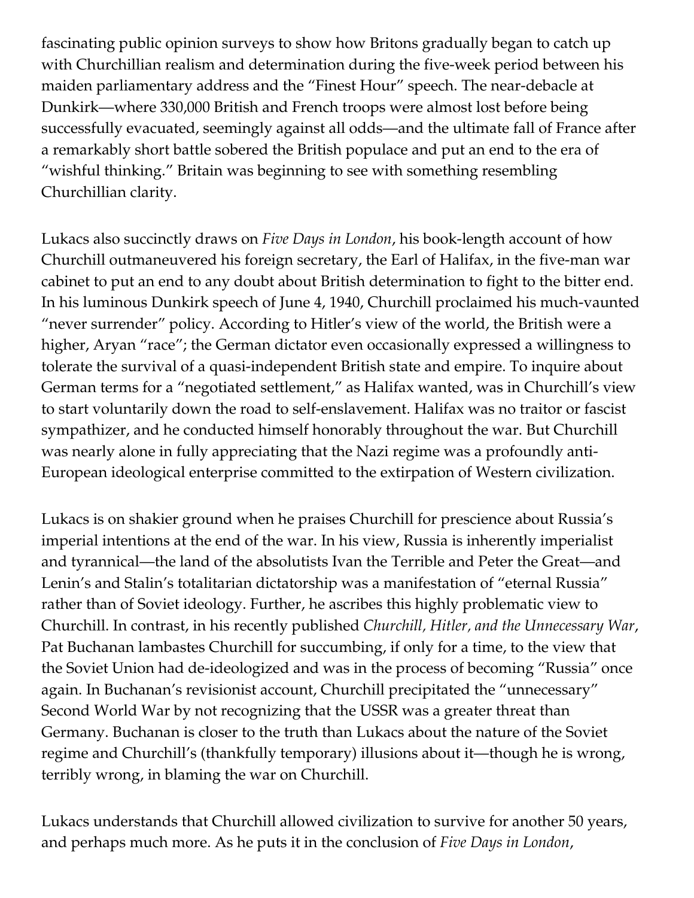fascinating public opinion surveys to show how Britons gradually began to catch up with Churchillian realism and determination during the five-week period between his maiden parliamentary address and the "Finest Hour" speech. The near-debacle at Dunkirk—where 330,000 British and French troops were almost lost before being successfully evacuated, seemingly against all odds—and the ultimate fall of France after a remarkably short battle sobered the British populace and put an end to the era of "wishful thinking." Britain was beginning to see with something resembling Churchillian clarity.

Lukacs also succinctly draws on *Five Days in London*, his book-length account of how Churchill outmaneuvered his foreign secretary, the Earl of Halifax, in the five-man war cabinet to put an end to any doubt about British determination to fight to the bitter end. In his luminous Dunkirk speech of June 4, 1940, Churchill proclaimed his much-vaunted "never surrender" policy. According to Hitler's view of the world, the British were a higher, Aryan "race"; the German dictator even occasionally expressed a willingness to tolerate the survival of a quasi-independent British state and empire. To inquire about German terms for a "negotiated settlement," as Halifax wanted, was in Churchill's view to start voluntarily down the road to self-enslavement. Halifax was no traitor or fascist sympathizer, and he conducted himself honorably throughout the war. But Churchill was nearly alone in fully appreciating that the Nazi regime was a profoundly anti-European ideological enterprise committed to the extirpation of Western civilization.

Lukacs is on shakier ground when he praises Churchill for prescience about Russia's imperial intentions at the end of the war. In his view, Russia is inherently imperialist and tyrannical—the land of the absolutists Ivan the Terrible and Peter the Great—and Lenin's and Stalin's totalitarian dictatorship was a manifestation of "eternal Russia" rather than of Soviet ideology. Further, he ascribes this highly problematic view to Churchill. In contrast, in his recently published *Churchill, Hitler, and the Unnecessary War*, Pat Buchanan lambastes Churchill for succumbing, if only for a time, to the view that the Soviet Union had de-ideologized and was in the process of becoming "Russia" once again. In Buchanan's revisionist account, Churchill precipitated the "unnecessary" Second World War by not recognizing that the USSR was a greater threat than Germany. Buchanan is closer to the truth than Lukacs about the nature of the Soviet regime and Churchill's (thankfully temporary) illusions about it—though he is wrong, terribly wrong, in blaming the war on Churchill.

Lukacs understands that Churchill allowed civilization to survive for another 50 years, and perhaps much more. As he puts it in the conclusion of *Five Days in London*,